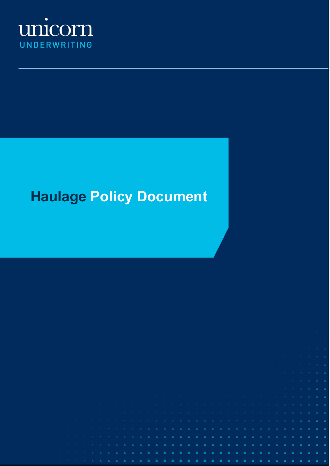

# **Haulage Policy Document**

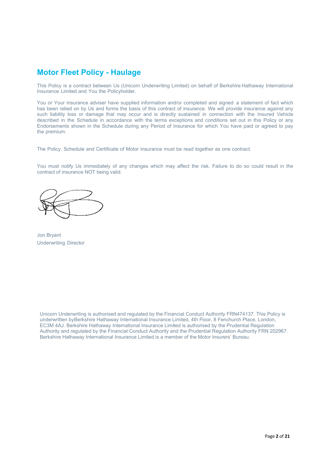# **Motor Fleet Policy - Haulage**

This Policy is a contract between Us (Unicorn Underwriting Limited) on behalf of Berkshire Hathaway International Insurance Limited and You the Policyholder.

You or Your insurance adviser have supplied information and/or completed and signed a statement of fact which has been relied on by Us and forms the basis of this contract of insurance. We will provide insurance against any such liability loss or damage that may occur and is directly sustained in connection with the Insured Vehicle described in the Schedule in accordance with the terms exceptions and conditions set out in this Policy or any Endorsements shown in the Schedule during any Period of Insurance for which You have paid or agreed to pay the premium.

The Policy, Schedule and Certificate of Motor Insurance must be read together as one contract.

You must notify Us immediately of any changes which may affect the risk. Failure to do so could result in the contract of insurance NOT being valid.

Jon Bryant Underwriting Director

Unicorn Underwriting is authorised and regulated by the Financial Conduct Authority FRN474137. This Policy is underwritten byBerkshire Hathaway International Insurance Limited, 4th Floor, 8 Fenchurch Place, London, EC3M 4AJ. Berkshire Hathaway International Insurance Limited is authorised by the Prudential Regulation Authority and regulated by the Financial Conduct Authority and the Prudential Regulation Authority FRN 202967. Berkshire Hathaway International Insurance Limited is a member of the Motor Insurers' Bureau.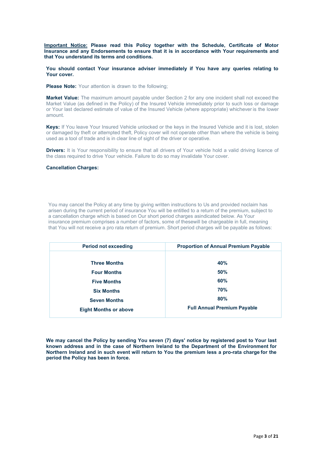**Important Notice: Please read this Policy together with the Schedule, Certificate of Motor Insurance and any Endorsements to ensure that it is in accordance with Your requirements and that You understand its terms and conditions.**

**You should contact Your insurance adviser immediately if You have any queries relating to Your cover.**

**Please Note:** Your attention is drawn to the following;

**Market Value:** The maximum amount payable under Section 2 for any one incident shall not exceed the Market Value (as defined in the Policy) of the Insured Vehicle immediately prior to such loss or damage or Your last declared estimate of value of the Insured Vehicle (where appropriate) whichever is the lower amount.

**Keys:** If You leave Your Insured Vehicle unlocked or the keys in the Insured Vehicle and it is lost, stolen or damaged by theft or attempted theft, Policy cover will not operate other than where the vehicle is being used as a tool of trade and is in clear line of sight of the driver or operative.

**Drivers:** It is Your responsibility to ensure that all drivers of Your vehicle hold a valid driving licence of the class required to drive Your vehicle. Failure to do so may invalidate Your cover.

#### **Cancellation Charges:**

You may cancel the Policy at any time by giving written instructions to Us and provided noclaim has arisen during the current period of insurance You will be entitled to a return of the premium, subject to a cancellation charge which is based on Our short period charges asindicated below. As Your insurance premium comprises a number of factors, some of thesewill be chargeable in full, meaning that You will not receive a pro rata return of premium. Short period charges will be payable as follows:

| <b>Period not exceeding</b>  | <b>Proportion of Annual Premium Payable</b> |
|------------------------------|---------------------------------------------|
|                              |                                             |
| <b>Three Months</b>          | <b>40%</b>                                  |
| <b>Four Months</b>           | 50%                                         |
| <b>Five Months</b>           | 60%                                         |
| <b>Six Months</b>            | <b>70%</b>                                  |
| <b>Seven Months</b>          | 80%                                         |
| <b>Eight Months or above</b> | <b>Full Annual Premium Payable</b>          |

**We may cancel the Policy by sending You seven (7) days' notice by registered post to Your last known address and in the case of Northern Ireland to the Department of the Environment for Northern Ireland and in such event will return to You the premium less a pro-rata charge for the period the Policy has been in force.**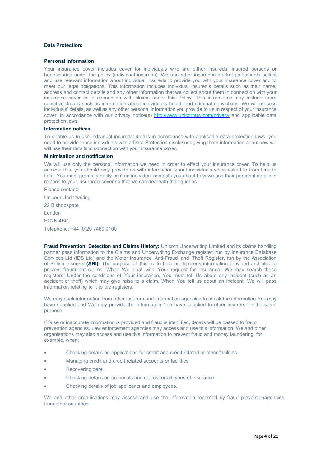### **Data Protection:**

#### **Personal information**

Your insurance cover includes cover for individuals who are either insureds, insured persons or beneficiaries under the policy (individual insureds). We and other insurance market participants collect and use relevant information about individual insureds to provide you with your insurance cover and to meet our legal obligations. This information includes individual insured's details such as their name, address and contact details and any other information that we collect about them in connection with your insurance cover or in connection with claims under this Policy. This information may include more sensitive details such as information about individual's health and criminal convictions. We will process individuals' details, as well as any other personal information you provide to us in respect of your insurance cover, in accordance with our privacy notice(s) <http://www.unicornuw.com/privacy> and applicable data protection laws.

#### **Information notices**

To enable us to use individual insureds' details in accordance with applicable data protection laws, you need to provide those individuals with a Data Protection disclosure giving them information about how we will use their details in connection with your insurance cover.

### **Minimisation and notification**

We will use only the personal information we need in order to effect your insurance cover. To help us achieve this, you should only provide us with information about individuals when asked to from time to time. You must promptly notify us if an individual contacts you about how we use their personal details in relation to your insurance cover so that we can deal with their queries.

Please contact: Unicorn Underwriting 22 Bishopsgate London EC2N 4BQ Telephone: +44 (0)20 7469 0100

**Fraud Prevention, Detection and Claims History:** Unicorn Underwriting Limited and its claims handling partner pass information to the Claims and Underwriting Exchange register, run by Insurance Database Services Ltd (IDS Ltd) and the Motor Insurance Anti-Fraud and Theft Register, run by the Association of British Insurers **(ABI).** The purpose of this is to help us to check information provided and also to prevent fraudulent claims. When We deal with Your request for insurance, We may search these registers. Under the conditions of Your insurance, You must tell Us about any incident (such as an accident or theft) which may give raise to a claim. When You tell us about an incident, We will pass information relating to it to the registers.

We may seek information from other insurers and information agencies to check the information You may have supplied and We may provide the information You have supplied to other insurers for the same purpose.

If false or inaccurate information is provided and fraud is identified, details will be passed to fraud prevention agencies. Law enforcement agencies may access and use this information. We and other organisations may also access and use this information to prevent fraud and money laundering, for example, when:

- Checking details on applications for credit and credit related or other facilities
- Managing credit and credit related accounts or facilities
- Recovering debt
- Checking details on proposals and claims for all types of insurance
- Checking details of job applicants and employees.

We and other organisations may access and use the information recorded by fraud preventionagencies from other countries.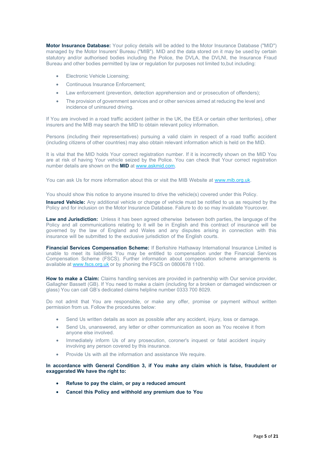**Motor Insurance Database:** Your policy details will be added to the Motor Insurance Database ("MID") managed by the Motor Insurers' Bureau ("MIB"). MID and the data stored on it may be used by certain statutory and/or authorised bodies including the Police, the DVLA, the DVLNI, the Insurance Fraud Bureau and other bodies permitted by law or regulation for purposes not limited to,but including:

- Electronic Vehicle Licensing;
- Continuous Insurance Enforcement;
- Law enforcement (prevention, detection apprehension and or prosecution of offenders);
- The provision of government services and or other services aimed at reducing the level and incidence of uninsured driving.

If You are involved in a road traffic accident (either in the UK, the EEA or certain other territories), other insurers and the MIB may search the MID to obtain relevant policy information.

Persons (including their representatives) pursuing a valid claim in respect of a road traffic accident (including citizens of other countries) may also obtain relevant information which is held on the MID.

It is vital that the MID holds Your correct registration number. If it is incorrectly shown on the MID You are at risk of having Your vehicle seized by the Police. You can check that Your correct registration number details are shown on the **MID** at [www.askmid.com.](http://www.askmid.com/)

You can ask Us for more information about this or visit the MIB Website at [www.mib.org.uk.](http://www.mib.org.uk/)

You should show this notice to anyone insured to drive the vehicle(s) covered under this Policy.

**Insured Vehicle:** Any additional vehicle or change of vehicle must be notified to us as required by the Policy and for inclusion on the Motor Insurance Database. Failure to do so may invalidate Yourcover.

**Law and Jurisdiction:** Unless it has been agreed otherwise between both parties, the language of the Policy and all communications relating to it will be in English and this contract of insurance will be governed by the law of England and Wales and any disputes arising in connection with this insurance will be submitted to the exclusive jurisdiction of the English courts.

**Financial Services Compensation Scheme:** If Berkshire Hathaway International Insurance Limited is unable to meet its liabilities You may be entitled to compensation under the Financial Services Compensation Scheme (FSCS). Further information about compensation scheme arrangements is available at [www.fscs.org.uk](http://www.fscs.org.uk/) or by phoning the FSCS on 0800678 1100.

**How to make a Claim:** Claims handling services are provided in partnership with Our service provider, Gallagher Bassett (GB). If You need to make a claim (including for a broken or damaged windscreen or glass) You can call GB's dedicated claims helpline number 0333 700 8029.

Do not admit that You are responsible, or make any offer, promise or payment without written permission from us. Follow the procedures below:

- Send Us written details as soon as possible after any accident, injury, loss or damage.
- Send Us, unanswered, any letter or other communication as soon as You receive it from anyone else involved.
- Immediately inform Us of any prosecution, coroner's inquest or fatal accident inquiry involving any person covered by this insurance.
- Provide Us with all the information and assistance We require.

**In accordance with General Condition 3, if You make any claim which is false, fraudulent or exaggerated We have the right to:**

- **Refuse to pay the claim, or pay a reduced amount**
- **Cancel this Policy and withhold any premium due to You**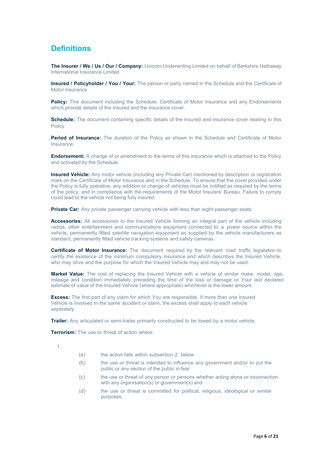# **Definitions**

**The Insurer / We / Us / Our / Company:** Unicorn Underwriting Limited on behalf of Berkshire Hathaway International Insurance Limited

**Insured / Policyholder / You / Your:** The person or party named in the Schedule and the Certificate of Motor Insurance

**Policy:** This document including the Schedule, Certificate of Motor Insurance and any Endorsements which provide details of the Insured and the insurance cover.

**Schedule:** The document containing specific details of the Insured and insurance cover relating to this Policy.

**Period of Insurance:** The duration of the Policy as shown in the Schedule and Certificate of Motor **Insurance** 

**Endorsement:** A change of or amendment to the terms of this insurance which is attached to the Policy and activated by the Schedule.

**Insured Vehicle:** Any motor vehicle (including any Private Car) mentioned by description or registration mark on the Certificate of Motor Insurance and in the Schedule. To ensure that the cover provided under the Policy is fully operative, any addition or change of vehicles must be notified as required by the terms of the policy, and in compliance with the requirements of the Motor Insurers' Bureau. Failure to comply could lead to the vehicle not being fully insured.

**Private Car:** Any private passenger carrying vehicle with less than eight passenger seats.

**Accessories:** All accessories to the Insured Vehicle forming an integral part of the vehicle including radios, other entertainment and communications equipment connected to a power source within the vehicle, permanently fitted satellite navigation equipment as supplied by the vehicle manufacturers as standard, permanently fitted vehicle tracking systems and safety cameras.

**Certificate of Motor Insurance:** The document required by the relevant road traffic legislation to certify the existence of the minimum compulsory insurance and which describes the Insured Vehicle, who may drive and the purpose for which the Insured Vehicle may and may not be used.

**Market Value:** The cost of replacing the Insured Vehicle with a vehicle of similar make, model, age, mileage and condition immediately preceding the time of the loss or damage or Your last declared estimate of value of the Insured Vehicle (where appropriate) whichever is the lower amount.

**Excess:** The first part of any claim for which You are responsible. If more than one Insured Vehicle is involved in the same accident or claim, the excess shall apply to each vehicle separately.

**Trailer:** Any articulated or semi-trailer primarily constructed to be towed by a motor vehicle.

**Terrorism:** The use or threat of action where:

1.

- (a) the action falls within subsection 2. below
- (b) the use or threat is intended to influence any government and/or to put the public or any section of the public in fear
- (c) the use or threat of any person or persons whether acting alone or inconnection with any organisation(s) or government(s) and
- (d) the use or threat is committed for political, religious, ideological or similar purposes.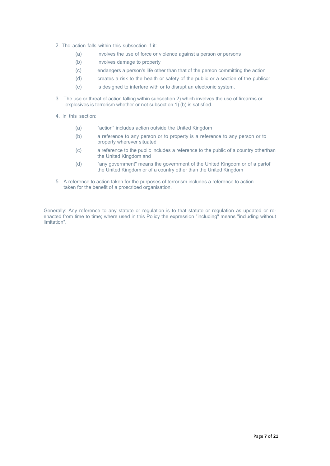- 2. The action falls within this subsection if it:
	- (a) involves the use of force or violence against a person or persons
	- (b) involves damage to property
	- (c) endangers a person's life other than that of the person committing the action
	- (d) creates a risk to the health or safety of the public or a section of the publicor
	- (e) is designed to interfere with or to disrupt an electronic system.
- 3. The use or threat of action falling within subsection 2) which involves the use of firearms or explosives is terrorism whether or not subsection  $1)(b)$  is satisfied.
- 4. In this section:
	- (a) "action" includes action outside the United Kingdom
	- (b) a reference to any person or to property is a reference to any person or to property wherever situated
	- (c) a reference to the public includes a reference to the public of a country otherthan the United Kingdom and
	- (d) "any government" means the government of the United Kingdom or of a partof the United Kingdom or of a country other than the United Kingdom
- 5. A reference to action taken for the purposes of terrorism includes a reference to action taken for the benefit of a proscribed organisation.

Generally: Any reference to any statute or regulation is to that statute or regulation as updated or reenacted from time to time; where used in this Policy the expression "including" means "including without limitation".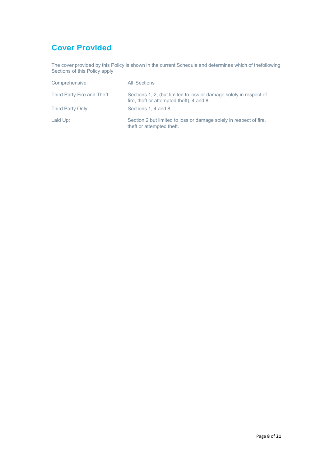# **Cover Provided**

The cover provided by this Policy is shown in the current Schedule and determines which of thefollowing Sections of this Policy apply

| Comprehensive:              | All Sections                                                                                                    |
|-----------------------------|-----------------------------------------------------------------------------------------------------------------|
| Third Party Fire and Theft: | Sections 1, 2, (but limited to loss or damage solely in respect of<br>fire, theft or attempted theft), 4 and 8. |
| Third Party Only:           | Sections 1, 4 and 8.                                                                                            |
| Laid Up:                    | Section 2 but limited to loss or damage solely in respect of fire.<br>theft or attempted theft.                 |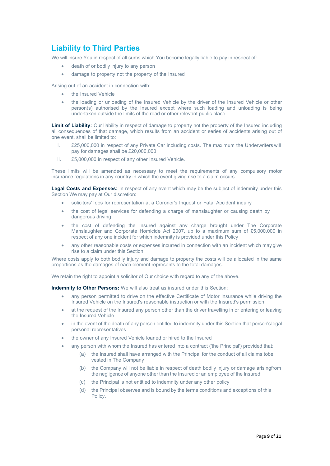### **Liability to Third Parties**

We will insure You in respect of all sums which You become legally liable to pay in respect of:

- death of or bodily injury to any person
- damage to property not the property of the Insured

Arising out of an accident in connection with:

- the Insured Vehicle
- the loading or unloading of the Insured Vehicle by the driver of the Insured Vehicle or other person(s) authorised by the Insured except where such loading and unloading is being undertaken outside the limits of the road or other relevant public place.

**Limit of Liability:** Our liability in respect of damage to property not the property of the Insured including all consequences of that damage, which results from an accident or series of accidents arising out of one event, shall be limited to:

- i. £25,000,000 in respect of any Private Car including costs. The maximum the Underwriters will pay for damages shall be £20,000,000
- ii. £5,000,000 in respect of any other Insured Vehicle.

These limits will be amended as necessary to meet the requirements of any compulsory motor insurance regulations in any country in which the event giving rise to a claim occurs.

**Legal Costs and Expenses:** In respect of any event which may be the subject of indemnity under this Section We may pay at Our discretion:

- solicitors' fees for representation at a Coroner's Inquest or Fatal Accident inquiry
- the cost of legal services for defending a charge of manslaughter or causing death by dangerous driving
- the cost of defending the Insured against any charge brought under The Corporate Manslaughter and Corporate Homicide Act 2007, up to a maximum sum of £5,000,000 in respect of any one incident for which indemnity is provided under this Policy
- any other reasonable costs or expenses incurred in connection with an incident which may give rise to a claim under this Section.

Where costs apply to both bodily injury and damage to property the costs will be allocated in the same proportions as the damages of each element represents to the total damages.

We retain the right to appoint a solicitor of Our choice with regard to any of the above.

**Indemnity to Other Persons:** We will also treat as insured under this Section:

- any person permitted to drive on the effective Certificate of Motor Insurance while driving the Insured Vehicle on the Insured's reasonable instruction or with the Insured's permission
- at the request of the Insured any person other than the driver travelling in or entering or leaving the Insured Vehicle
- in the event of the death of any person entitled to indemnity under this Section that person's legal personal representatives
- the owner of any Insured Vehicle loaned or hired to the Insured
- any person with whom the Insured has entered into a contract ('the Principal') provided that:
	- (a) the Insured shall have arranged with the Principal for the conduct of all claims tobe vested in The Company
	- (b) the Company will not be liable in respect of death bodily injury or damage arisingfrom the negligence of anyone other than the Insured or an employee of the Insured
	- (c) the Principal is not entitled to indemnity under any other policy
	- (d) the Principal observes and is bound by the terms conditions and exceptions of this Policy.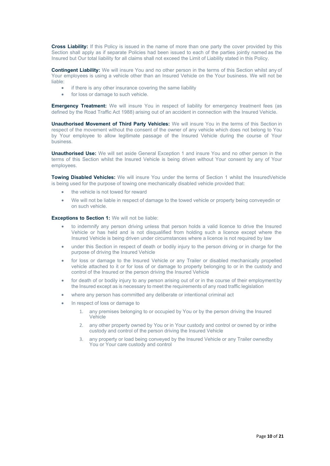**Cross Liability:** If this Policy is issued in the name of more than one party the cover provided by this Section shall apply as if separate Policies had been issued to each of the parties jointly named as the Insured but Our total liability for all claims shall not exceed the Limit of Liability stated in this Policy.

**Contingent Liability:** We will insure You and no other person in the terms of this Section whilst any of Your employees is using a vehicle other than an Insured Vehicle on the Your business. We will not be liable:

- if there is any other insurance covering the same liability
- for loss or damage to such vehicle.

**Emergency Treatment:** We will insure You in respect of liability for emergency treatment fees (as defined by the Road Traffic Act 1988) arising out of an accident in connection with the Insured Vehicle.

**Unauthorised Movement of Third Party Vehicles:** We will insure You in the terms of this Section in respect of the movement without the consent of the owner of any vehicle which does not belong to You by Your employee to allow legitimate passage of the Insured Vehicle during the course of Your business.

**Unauthorised Use:** We will set aside General Exception 1 and insure You and no other person in the terms of this Section whilst the Insured Vehicle is being driven without Your consent by any of Your employees.

**Towing Disabled Vehicles:** We will insure You under the terms of Section 1 whilst the InsuredVehicle is being used for the purpose of towing one mechanically disabled vehicle provided that:

- the vehicle is not towed for reward
- We will not be liable in respect of damage to the towed vehicle or property being conveyedin or on such vehicle.

**Exceptions to Section 1:** We will not be liable:

- to indemnify any person driving unless that person holds a valid licence to drive the Insured Vehicle or has held and is not disqualified from holding such a licence except where the Insured Vehicle is being driven under circumstances where a licence is not required by law
- under this Section in respect of death or bodily injury to the person driving or in charge for the purpose of driving the Insured Vehicle
- for loss or damage to the Insured Vehicle or any Trailer or disabled mechanically propelled vehicle attached to it or for loss of or damage to property belonging to or in the custody and control of the Insured or the person driving the Insured Vehicle
- for death of or bodily injury to any person arising out of or in the course of their employment by the Insured except as is necessary to meet the requirements of any road traffic legislation
- where any person has committed any deliberate or intentional criminal act
- In respect of loss or damage to
	- 1. any premises belonging to or occupied by You or by the person driving the Insured Vehicle
	- 2. any other property owned by You or in Your custody and control or owned by or inthe custody and control of the person driving the Insured Vehicle
	- 3. any property or load being conveyed by the Insured Vehicle or any Trailer ownedby You or Your care custody and control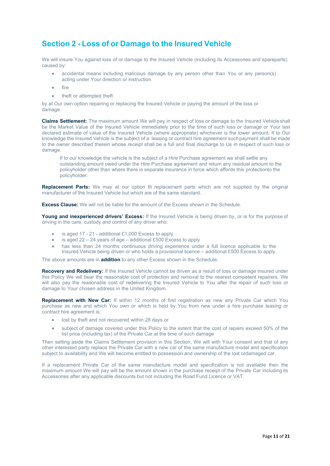# **Section 2 - Loss of or Damage to the Insured Vehicle**

We will insure You against loss of or damage to the Insured Vehicle (including its Accessories and spareparts) caused by:

- accidental means including malicious damage by any person other than You or any person(s) acting under Your direction or instruction
- $f$ ire
- theft or attempted theft

by at Our own option repairing or replacing the Insured Vehicle or paying the amount of the loss or damage.

**Claims Settlement:** The maximum amount We will pay in respect of loss or damage to the Insured Vehicle shall be the Market Value of the Insured Vehicle immediately prior to the time of such loss or damage or Your last declared estimate of value of the Insured Vehicle (where appropriate) whichever is the lower amount. If to Our knowledge the Insured Vehicle is the subject of a leasing or contract hire agreement suchpayment shall be made to the owner described therein whose receipt shall be a full and final discharge to Us in respect of such loss or damage.

If to our knowledge the vehicle is the subject of a Hire Purchase agreement we shall settle any outstanding amount owed under the Hire Purchase agreement and return any residual amount to the policyholder other than where there is separate insurance in force which affords this protectionto the policyholder.

**Replacement Parts:** We may at our option fit replacement parts which are not supplied by the original manufacturer of the Insured Vehicle but which are of the same standard.

**Excess Clause:** We will not be liable for the amount of the Excess shown in the Schedule.

**Young and inexperienced drivers' Excess:** If the Insured Vehicle is being driven by, or is for the purpose of driving in the care, custody and control of any driver who:

- is aged 17 21 additional £1,000 Excess to apply
- is aged 22 24 years of age additional £500 Excess to apply
- has less than 24 months continuous driving experience under a full licence applicable to the Insured Vehicle being driven or who holds a provisional licence – additional £500 Excess to apply

The above amounts are in **addition** to any other Excess shown in the Schedule.

**Recovery and Redelivery:** If the Insured Vehicle cannot be driven as a result of loss or damage insured under this Policy We will bear the reasonable cost of protection and removal to the nearest competent repairers. We will also pay the reasonable cost of redelivering the Insured Vehicle to You after the repair of such loss or damage to Your chosen address in the United Kingdom.

**Replacement with New Car:** If within 12 months of first registration as new any Private Car which You purchase as new and which You own or which is held by You from new under a hire purchase leasing or contract hire agreement is:

- lost by theft and not recovered within 28 days or
- subject of damage covered under this Policy to the extent that the cost of repairs exceed 50% of the list price (including tax) of the Private Car at the time of such damage

Then setting aside the Claims Settlement provision in this Section, We will with Your consent and that of any other interested party replace the Private Car with a new car of the same manufacture model and specification subject to availability and We will become entitled to possession and ownership of the lost ordamaged car.

If a replacement Private Car of the same manufacture model and specification is not available then the maximum amount We will pay will be the amount shown in the purchase receipt of the Private Car including its Accessories after any applicable discounts but not including the Road Fund Licence or VAT.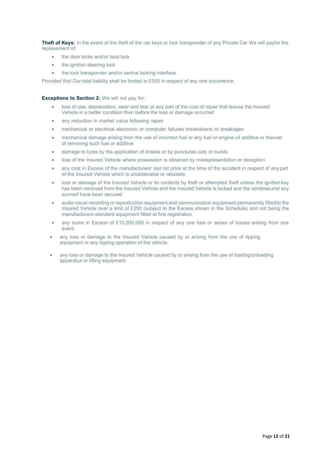**Theft of Keys:** In the event of the theft of the car keys or lock transponder of any Private Car We will payfor the replacement of:

- the door locks and/or boot lock
- the ignition steering lock
- the lock transponder and/or central locking interface

Provided that Our total liability shall be limited to £500 in respect of any one occurrence.

#### **Exceptions to Section 2:** We will not pay for:

- loss of use, depreciation, wear and tear or any part of the cost of repair that leaves the Insured Vehicle in a better condition than before the loss or damage occurred
- any reduction in market value following repair
- mechanical or electrical electronic or computer failures breakdowns or breakages
- mechanical damage arising from the use of incorrect fuel or any fuel or engine oil additive or thecost of removing such fuel or additive
- damage to tyres by the application of brakes or by punctures cuts or bursts
- loss of the Insured Vehicle where possession is obtained by misrepresentation or deception
- any cost in Excess of the manufacturers' last list price at the time of the accident in respect of any part of the Insured Vehicle which is unobtainable or obsolete
- loss or damage of the Insured Vehicle or its contents by theft or attempted theft unless the ignition key has been removed from the Insured Vehicle and the Insured Vehicle is locked and the windows and any sunroof have been secured
- audio visual recording or reproduction equipment and communication equipment permanently fittedto the Insured Vehicle over a limit of £250 (subject to the Excess shown in the Schedule) and not being the manufacturers standard equipment fitted at first registration
- any sums in Excess of £10,000,000 in respect of any one loss or series of losses arising from one event.
- any loss or damage to the Insured Vehicle caused by or arising from the use of tipping equipment or any tipping operation of the vehicle.
- any loss or damage to the Insured Vehicle caused by or arising from the use of loading/unloading apparatus or lifting equipment.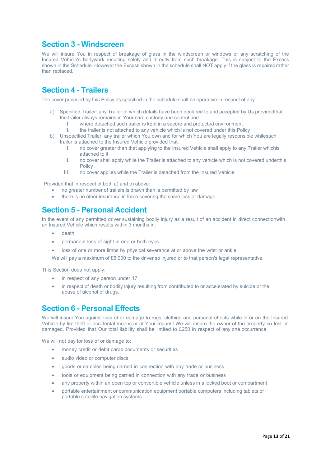### **Section 3 - Windscreen**

We will insure You in respect of breakage of glass in the windscreen or windows or any scratching of the Insured Vehicle's bodywork resulting solely and directly from such breakage. This is subject to the Excess shown in the Schedule. However the Excess shown in the schedule shall NOT apply if the glass is repairedrather than replaced.

# **Section 4 - Trailers**

The cover provided by this Policy as specified in the schedule shall be operative in respect of any

- a) Specified Trailer: any Trailer of which details have been declared to and accepted by Us providedthat the trailer always remains in Your care custody and control and
	- I. where detached such trailer is kept in a secure and protected environment<br>II the trailer is not attached to any vehicle which is not covered under this Po
	- the trailer is not attached to any vehicle which is not covered under this Policy
- b) Unspecified Trailer: any trailer which You own and for which You are legally responsible whilesuch trailer is attached to the Insured Vehicle provided that:
	- I. no cover greater than that applying to the Insured Vehicle shall apply to any Trailer whichis attached to it
	- II. no cover shall apply while the Trailer is attached to any vehicle which is not covered underthis Policy
	- III. no cover applies while the Trailer is detached from the Insured Vehicle

Provided that in respect of both a) and b) above:

- no greater number of trailers is drawn than is permitted by law
- there is no other insurance in force covering the same loss or damage

### **Section 5 - Personal Accident**

In the event of any permitted driver sustaining bodily injury as a result of an accident in direct connectionwith an Insured Vehicle which results within 3 months in:

- death
- permanent loss of sight in one or both eyes
- loss of one or more limbs by physical severance at or above the wrist or ankle

We will pay a maximum of £5,000 to the driver so injured or to that person's legal representative.

This Section does not apply:

- in respect of any person under 17
- in respect of death or bodily injury resulting from contributed to or accelerated by suicide or the abuse of alcohol or drugs.

### **Section 6 - Personal Effects**

We will insure You against loss of or damage to rugs, clothing and personal effects while in or on the Insured Vehicle by fire theft or accidental means or at Your request We will insure the owner of the property so lost or damaged. Provided that Our total liability shall be limited to £250 in respect of any one occurrence.

We will not pay for loss of or damage to:

- money credit or debit cards documents or securities
- audio video or computer discs
- goods or samples being carried in connection with any trade or business
- tools or equipment being carried in connection with any trade or business
- any property within an open top or convertible vehicle unless in a locked boot or compartment
- portable entertainment or communication equipment portable computers including tablets or portable satellite navigation systems.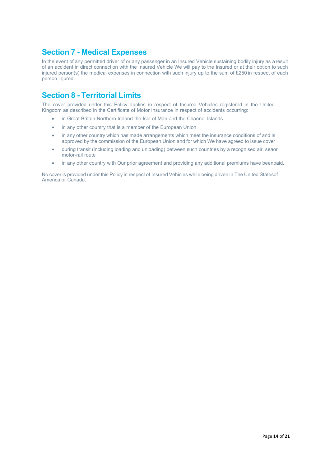### **Section 7 - Medical Expenses**

In the event of any permitted driver of or any passenger in an Insured Vehicle sustaining bodily injury as a result of an accident in direct connection with the Insured Vehicle We will pay to the Insured or at their option to such injured person(s) the medical expenses in connection with such injury up to the sum of £250 in respect of each person injured.

# **Section 8 - Territorial Limits**

The cover provided under this Policy applies in respect of Insured Vehicles registered in the United Kingdom as described in the Certificate of Motor Insurance in respect of accidents occurring:

- in Great Britain Northern Ireland the Isle of Man and the Channel Islands
- in any other country that is a member of the European Union
- in any other country which has made arrangements which meet the insurance conditions of and is approved by the commission of the European Union and for which We have agreed to issue cover
- during transit (including loading and unloading) between such countries by a recognised air, seaor motor-rail route
- in any other country with Our prior agreement and providing any additional premiums have beenpaid.

No cover is provided under this Policy in respect of Insured Vehicles while being driven in The United Statesof America or Canada.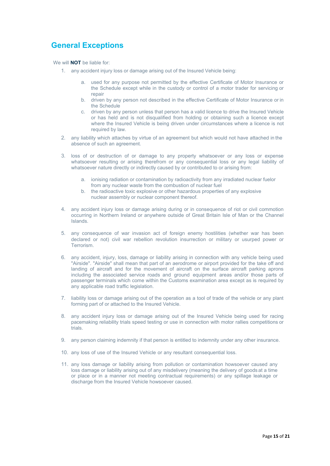# **General Exceptions**

We will **NOT** be liable for:

- 1. any accident injury loss or damage arising out of the Insured Vehicle being:
	- a. used for any purpose not permitted by the effective Certificate of Motor Insurance or the Schedule except while in the custody or control of a motor trader for servicing or repair
	- b. driven by any person not described in the effective Certificate of Motor Insurance or in the Schedule
	- c. driven by any person unless that person has a valid licence to drive the Insured Vehicle or has held and is not disqualified from holding or obtaining such a licence except where the Insured Vehicle is being driven under circumstances where a licence is not required by law.
- 2. any liability which attaches by virtue of an agreement but which would not have attached in the absence of such an agreement.
- 3. loss of or destruction of or damage to any property whatsoever or any loss or expense whatsoever resulting or arising therefrom or any consequential loss or any legal liability of whatsoever nature directly or indirectly caused by or contributed to or arising from:
	- ionising radiation or contamination by radioactivity from any irradiated nuclear fuelor from any nuclear waste from the combustion of nuclear fuel
	- b. the radioactive toxic explosive or other hazardous properties of any explosive nuclear assembly or nuclear component thereof.
- 4. any accident injury loss or damage arising during or in consequence of riot or civil commotion occurring in Northern Ireland or anywhere outside of Great Britain Isle of Man or the Channel Islands.
- 5. any consequence of war invasion act of foreign enemy hostilities (whether war has been declared or not) civil war rebellion revolution insurrection or military or usurped power or Terrorism.
- 6. any accident, injury, loss, damage or liability arising in connection with any vehicle being used "Airside". "Airside" shall mean that part of an aerodrome or airport provided for the take off and landing of aircraft and for the movement of aircraft on the surface aircraft parking aprons including the associated service roads and ground equipment areas and/or those parts of passenger terminals which come within the Customs examination area except as is required by any applicable road traffic legislation.
- 7. liability loss or damage arising out of the operation as a tool of trade of the vehicle or any plant forming part of or attached to the Insured Vehicle.
- 8. any accident injury loss or damage arising out of the Insured Vehicle being used for racing pacemaking reliability trials speed testing or use in connection with motor rallies competitions or trials.
- 9. any person claiming indemnity if that person is entitled to indemnity under any other insurance.
- 10. any loss of use of the Insured Vehicle or any resultant consequential loss.
- 11. any loss damage or liability arising from pollution or contamination howsoever caused any loss damage or liability arising out of any misdelivery (meaning the delivery of goods at a time or place or in a manner not meeting contractual requirements) or any spillage leakage or discharge from the Insured Vehicle howsoever caused.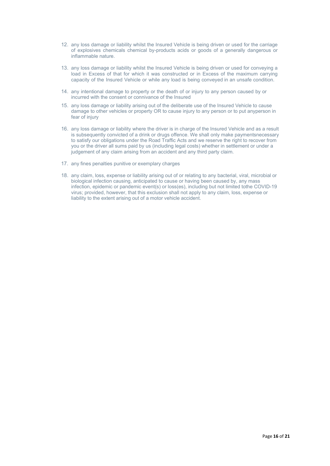- 12. any loss damage or liability whilst the Insured Vehicle is being driven or used for the carriage of explosives chemicals chemical by-products acids or goods of a generally dangerous or inflammable nature.
- 13. any loss damage or liability whilst the Insured Vehicle is being driven or used for conveying a load in Excess of that for which it was constructed or in Excess of the maximum carrying capacity of the Insured Vehicle or while any load is being conveyed in an unsafe condition.
- 14. any intentional damage to property or the death of or injury to any person caused by or incurred with the consent or connivance of the Insured
- 15. any loss damage or liability arising out of the deliberate use of the Insured Vehicle to cause damage to other vehicles or property OR to cause injury to any person or to put anyperson in fear of injury
- 16. any loss damage or liability where the driver is in charge of the Insured Vehicle and as a result is subsequently convicted of a drink or drugs offence. We shall only make paymentsnecessary to satisfy our obligations under the Road Traffic Acts and we reserve the right to recover from you or the driver all sums paid by us (including legal costs) whether in settlement or under a judgement of any claim arising from an accident and any third party claim.
- 17. any fines penalties punitive or exemplary charges
- 18. any claim, loss, expense or liability arising out of or relating to any bacterial, viral, microbial or biological infection causing, anticipated to cause or having been caused by, any mass infection, epidemic or pandemic event(s) or loss(es), including but not limited tothe COVID-19 virus; provided, however, that this exclusion shall not apply to any claim, loss, expense or liability to the extent arising out of a motor vehicle accident.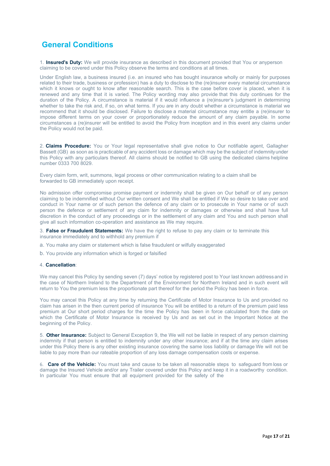# **General Conditions**

1. **Insured's Duty:** We will provide insurance as described in this document provided that You or anyperson claiming to be covered under this Policy observe the terms and conditions at all times.

Under English law, a business insured (i.e. an insured who has bought insurance wholly or mainly for purposes related to their trade, business or profession) has a duty to disclose to the (re)insurer every material circumstance which it knows or ought to know after reasonable search. This is the case before cover is placed, when it is renewed and any time that it is varied. The Policy wording may also provide that this duty continues for the duration of the Policy. A circumstance is material if it would influence a (re)insurer's judgment in determining whether to take the risk and, if so, on what terms. If you are in any doubt whether a circumstance is material we recommend that it should be disclosed. Failure to disclose a material circumstance may entitle a (re)insurer to impose different terms on your cover or proportionately reduce the amount of any claim payable. In some circumstances a (re)insurer will be entitled to avoid the Policy from inception and in this event any claims under the Policy would not be paid.

2. **Claims Procedure:** You or Your legal representative shall give notice to Our notifiable agent, Gallagher Bassett (GB) as soon as is practicable of any accident loss or damage which may be the subject of indemnityunder this Policy with any particulars thereof. All claims should be notified to GB using the dedicated claims helpline number 0333 700 8029.

Every claim form, writ, summons, legal process or other communication relating to a claim shall be forwarded to GB immediately upon receipt.

No admission offer compromise promise payment or indemnity shall be given on Our behalf or of any person claiming to be indemnified without Our written consent and We shall be entitled if We so desire to take over and conduct in Your name or of such person the defence of any claim or to prosecute in Your name or of such person the defence or settlement of any claim for indemnity or damages or otherwise and shall have full discretion in the conduct of any proceedings or in the settlement of any claim and You and such person shall give all such information co-operation and assistance as We may require.

3. **False or Fraudulent Statements:** We have the right to refuse to pay any claim or to terminate this insurance immediately and to withhold any premium if

- a. You make any claim or statement which is false fraudulent or wilfully exaggerated
- b. You provide any information which is forged or falsified

#### 4. **Cancellation**:

We may cancel this Policy by sending seven (7) days' notice by registered post to Your last known address and in the case of Northern Ireland to the Department of the Environment for Northern Ireland and in such event will return to You the premium less the proportionate part thereof for the period the Policy has been in force.

You may cancel this Policy at any time by returning the Certificate of Motor Insurance to Us and provided no claim has arisen in the then current period of insurance You will be entitled to a return of the premium paid less premium at Our short period charges for the time the Policy has been in force calculated from the date on which the Certificate of Motor Insurance is received by Us and as set out in the Important Notice at the beginning of the Policy.

5. **Other Insurance:** Subject to General Exception 9, the We will not be liable in respect of any person claiming indemnity if that person is entitled to indemnity under any other insurance; and if at the time any claim arises under this Policy there is any other existing insurance covering the same loss liability or damage We will not be liable to pay more than our rateable proportion of any loss damage compensation costs or expense.

6. **Care of the Vehicle:** You must take and cause to be taken all reasonable steps to safeguard from loss or damage the Insured Vehicle and/or any Trailer covered under this Policy and keep it in a roadworthy condition. In particular You must ensure that all equipment provided for the safety of the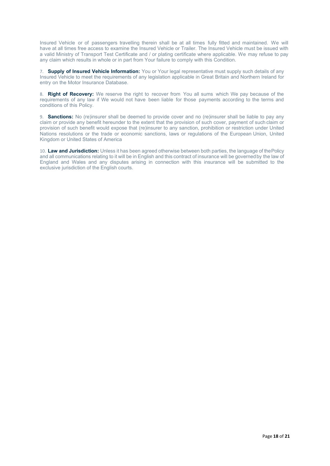Insured Vehicle or of passengers travelling therein shall be at all times fully fitted and maintained. We will have at all times free access to examine the Insured Vehicle or Trailer. The Insured Vehicle must be issued with a valid Ministry of Transport Test Certificate and / or plating certificate where applicable. We may refuse to pay any claim which results in whole or in part from Your failure to comply with this Condition.

7. **Supply of Insured Vehicle Information:** You or Your legal representative must supply such details of any Insured Vehicle to meet the requirements of any legislation applicable in Great Britain and Northern Ireland for entry on the Motor Insurance Database.

8. **Right of Recovery:** We reserve the right to recover from You all sums which We pay because of the requirements of any law if We would not have been liable for those payments according to the terms and conditions of this Policy.

9. **Sanctions:** No (re)insurer shall be deemed to provide cover and no (re)insurer shall be liable to pay any claim or provide any benefit hereunder to the extent that the provision of such cover, payment of such claim or provision of such benefit would expose that (re)insurer to any sanction, prohibition or restriction under United Nations resolutions or the trade or economic sanctions, laws or regulations of the European Union, United Kingdom or United States of America

10. **Law and Jurisdiction:** Unless it has been agreed otherwise between both parties, the language of thePolicy and all communications relating to it will be in English and this contract of insurance will be governedby the law of England and Wales and any disputes arising in connection with this insurance will be submitted to the exclusive jurisdiction of the English courts.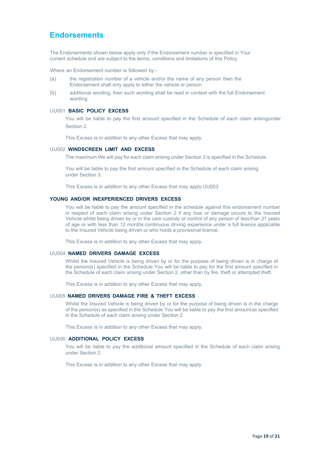### **Endorsements**

The Endorsements shown below apply only if the Endorsement number is specified in Your current schedule and are subject to the terms, conditions and limitations of this Policy.

Where an Endorsement number is followed by:-

- (a) the registration number of a vehicle and/or the name of any person then the Endorsement shall only apply to either the vehicle or person
- (b) additional wording, then such wording shall be read in context with the full Endorsement wording.

#### UU001 **BASIC POLICY EXCESS**

You will be liable to pay the first amount specified in the Schedule of each claim arisingunder Section 2.

This Excess is in addition to any other Excess that may apply.

#### UU002 **WINDSCREEN LIMIT AND EXCESS**

The maximum We will pay for each claim arising under Section 3 is specified in the Schedule.

You will be liable to pay the first amount specified in the Schedule of each claim arising under Section 3.

This Excess is in addition to any other Excess that may apply.UU003

### **YOUNG AND/OR INEXPERIENCED DRIVERS EXCESS**

You will be liable to pay the amount specified in the schedule against this endorsement number in respect of each claim arising under Section 2 if any loss or damage occurs to the Insured Vehicle whilst being driven by or in the care custody or control of any person of less than 21 years of age or with less than 12 months continuous driving experience under a full licence applicable to the Insured Vehicle being driven or who holds a provisional licence.

This Excess is in addition to any other Excess that may apply.

#### UU004 **NAMED DRIVERS DAMAGE EXCESS**

Whilst the Insured Vehicle is being driven by or for the purpose of being driven is in charge of the person(s) specified in the Schedule You will be liable to pay for the first amount specified in the Schedule of each claim arising under Section 2, other than by fire, theft or attempted theft.

This Excess is in addition to any other Excess that may apply.

#### UU005 **NAMED DRIVERS DAMAGE FIRE & THEFT EXCESS**

Whilst the Insured Vehicle is being driven by or for the purpose of being driven is in the charge of the person(s) as specified in the Schedule You will be liable to pay the first amountas specified in the Schedule of each claim arising under Section 2.

This Excess is in addition to any other Excess that may apply.

### UU006 **ADDITIONAL POLICY EXCESS**

You will be liable to pay the additional amount specified in the Schedule of each claim arising under Section 2.

This Excess is in addition to any other Excess that may apply.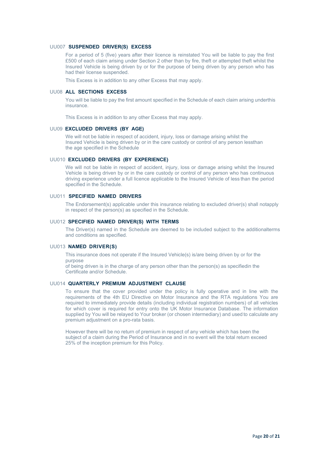#### UU007 **SUSPENDED DRIVER(S) EXCESS**

For a period of 5 (five) years after their licence is reinstated You will be liable to pay the first £500 of each claim arising under Section 2 other than by fire, theft or attempted theft whilst the Insured Vehicle is being driven by or for the purpose of being driven by any person who has had their license suspended.

This Excess is in addition to any other Excess that may apply.

#### UU08 **ALL SECTIONS EXCESS**

You will be liable to pay the first amount specified in the Schedule of each claim arising underthis insurance.

This Excess is in addition to any other Excess that may apply.

#### UU09 **EXCLUDED DRIVERS (BY AGE)**

We will not be liable in respect of accident, injury, loss or damage arising whilst the Insured Vehicle is being driven by or in the care custody or control of any person lessthan the age specified in the Schedule

#### UU010 **EXCLUDED DRIVERS (BY EXPERIENCE)**

We will not be liable in respect of accident, injury, loss or damage arising whilst the Insured Vehicle is being driven by or in the care custody or control of any person who has continuous driving experience under a full licence applicable to the Insured Vehicle of less than the period specified in the Schedule.

#### UU011 **SPECIFIED NAMED DRIVERS**

The Endorsement(s) applicable under this insurance relating to excluded driver(s) shall notapply in respect of the person(s) as specified in the Schedule.

#### UU012 **SPECIFIED NAMED DRIVER(S) WITH TERMS**

The Driver(s) named in the Schedule are deemed to be included subject to the additionalterms and conditions as specified.

#### UU013 **NAMED DRIVER(S)**

This insurance does not operate if the Insured Vehicle(s) is/are being driven by or for the purpose

of being driven is in the charge of any person other than the person(s) as specifiedin the Certificate and/or Schedule.

### UU014 **QUARTERLY PREMIUM ADJUSTMENT CLAUSE**

To ensure that the cover provided under the policy is fully operative and in line with the requirements of the 4th EU Directive on Motor Insurance and the RTA regulations You are required to immediately provide details (including individual registration numbers) of all vehicles for which cover is required for entry onto the UK Motor Insurance Database. The information supplied by You will be relayed to Your broker (or chosen intermediary) and used to calculate any premium adjustment on a pro-rata basis.

However there will be no return of premium in respect of any vehicle which has been the subject of a claim during the Period of Insurance and in no event will the total return exceed 25% of the inception premium for this Policy.